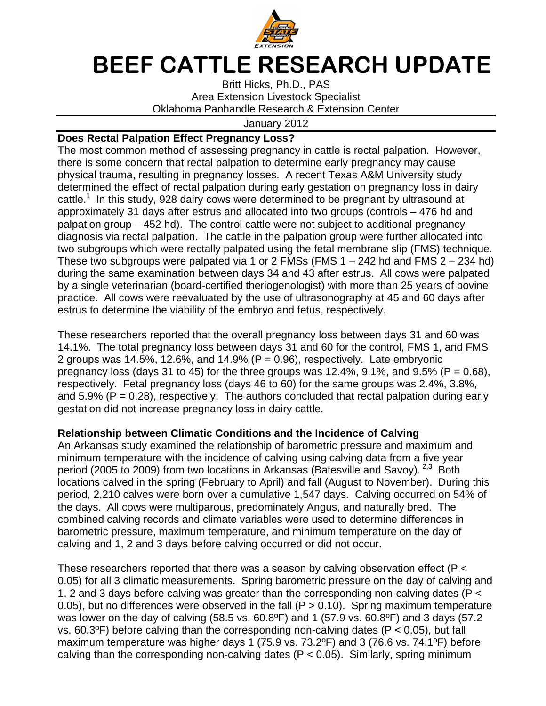

## BEEF CATTLE RESEARCH UPDATE

Britt Hicks, Ph.D., PAS Area Extension Livestock Specialist Oklahoma Panhandle Research & Extension Center

## January 2012

## **Does Rectal Palpation Effect Pregnancy Loss?**

The most common method of assessing pregnancy in cattle is rectal palpation. However, there is some concern that rectal palpation to determine early pregnancy may cause physical trauma, resulting in pregnancy losses. A recent Texas A&M University study determined the effect of rectal palpation during early gestation on pregnancy loss in dairy cattle.<sup>1</sup> In this study, 928 dairy cows were determined to be pregnant by ultrasound at approximately 31 days after estrus and allocated into two groups (controls – 476 hd and palpation group – 452 hd). The control cattle were not subject to additional pregnancy diagnosis via rectal palpation. The cattle in the palpation group were further allocated into two subgroups which were rectally palpated using the fetal membrane slip (FMS) technique. These two subgroups were palpated via 1 or 2 FMSs (FMS  $1 - 242$  hd and FMS  $2 - 234$  hd) during the same examination between days 34 and 43 after estrus. All cows were palpated by a single veterinarian (board-certified theriogenologist) with more than 25 years of bovine practice. All cows were reevaluated by the use of ultrasonography at 45 and 60 days after estrus to determine the viability of the embryo and fetus, respectively.

These researchers reported that the overall pregnancy loss between days 31 and 60 was 14.1%. The total pregnancy loss between days 31 and 60 for the control, FMS 1, and FMS 2 groups was 14.5%, 12.6%, and 14.9% ( $P = 0.96$ ), respectively. Late embryonic pregnancy loss (days 31 to 45) for the three groups was 12.4%, 9.1%, and 9.5% ( $P = 0.68$ ), respectively. Fetal pregnancy loss (days 46 to 60) for the same groups was 2.4%, 3.8%, and  $5.9\%$  (P = 0.28), respectively. The authors concluded that rectal palpation during early gestation did not increase pregnancy loss in dairy cattle.

## **Relationship between Climatic Conditions and the Incidence of Calving**

An Arkansas study examined the relationship of barometric pressure and maximum and minimum temperature with the incidence of calving using calving data from a five year period (2005 to 2009) from two locations in Arkansas (Batesville and Savoy).  $2.3$  Both locations calved in the spring (February to April) and fall (August to November). During this period, 2,210 calves were born over a cumulative 1,547 days. Calving occurred on 54% of the days. All cows were multiparous, predominately Angus, and naturally bred. The combined calving records and climate variables were used to determine differences in barometric pressure, maximum temperature, and minimum temperature on the day of calving and 1, 2 and 3 days before calving occurred or did not occur.

These researchers reported that there was a season by calving observation effect (P < 0.05) for all 3 climatic measurements. Spring barometric pressure on the day of calving and 1, 2 and 3 days before calving was greater than the corresponding non-calving dates (P < 0.05), but no differences were observed in the fall ( $P > 0.10$ ). Spring maximum temperature was lower on the day of calving (58.5 vs. 60.8ºF) and 1 (57.9 vs. 60.8ºF) and 3 days (57.2 vs. 60.3 $\degree$ F) before calving than the corresponding non-calving dates (P < 0.05), but fall maximum temperature was higher days 1 (75.9 vs. 73.2ºF) and 3 (76.6 vs. 74.1ºF) before calving than the corresponding non-calving dates ( $P < 0.05$ ). Similarly, spring minimum